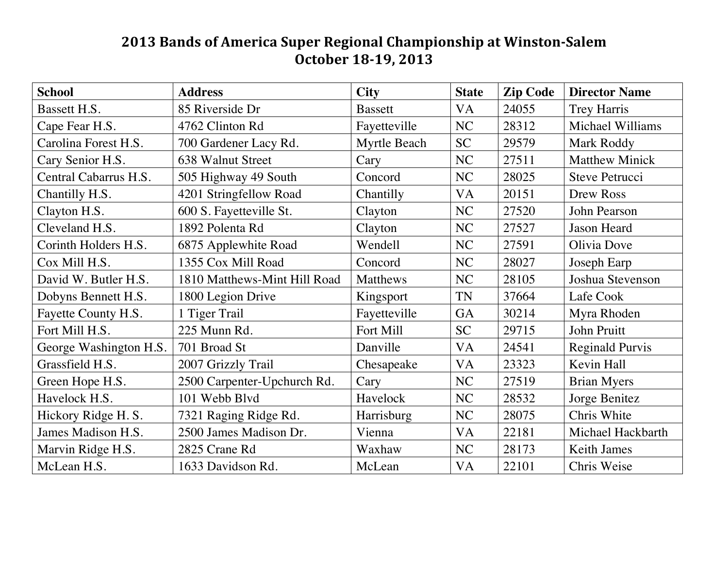## **2013 Bands of America Super Regional Championship at Winston-Salem October 18-19, 2013**

| <b>School</b>          | <b>Address</b>               | <b>City</b>    | <b>State</b> | <b>Zip Code</b> | <b>Director Name</b>   |
|------------------------|------------------------------|----------------|--------------|-----------------|------------------------|
| Bassett H.S.           | 85 Riverside Dr              | <b>Bassett</b> | <b>VA</b>    | 24055           | <b>Trey Harris</b>     |
| Cape Fear H.S.         | 4762 Clinton Rd              | Fayetteville   | NC           | 28312           | Michael Williams       |
| Carolina Forest H.S.   | 700 Gardener Lacy Rd.        | Myrtle Beach   | <b>SC</b>    | 29579           | Mark Roddy             |
| Cary Senior H.S.       | 638 Walnut Street            | Cary           | NC           | 27511           | <b>Matthew Minick</b>  |
| Central Cabarrus H.S.  | 505 Highway 49 South         | Concord        | NC           | 28025           | <b>Steve Petrucci</b>  |
| Chantilly H.S.         | 4201 Stringfellow Road       | Chantilly      | VA           | 20151           | Drew Ross              |
| Clayton H.S.           | 600 S. Fayetteville St.      | Clayton        | NC           | 27520           | John Pearson           |
| Cleveland H.S.         | 1892 Polenta Rd              | Clayton        | NC           | 27527           | Jason Heard            |
| Corinth Holders H.S.   | 6875 Applewhite Road         | Wendell        | NC           | 27591           | Olivia Dove            |
| Cox Mill H.S.          | 1355 Cox Mill Road           | Concord        | NC           | 28027           | Joseph Earp            |
| David W. Butler H.S.   | 1810 Matthews-Mint Hill Road | Matthews       | NC           | 28105           | Joshua Stevenson       |
| Dobyns Bennett H.S.    | 1800 Legion Drive            | Kingsport      | <b>TN</b>    | 37664           | Lafe Cook              |
| Fayette County H.S.    | 1 Tiger Trail                | Fayetteville   | GA           | 30214           | Myra Rhoden            |
| Fort Mill H.S.         | 225 Munn Rd.                 | Fort Mill      | <b>SC</b>    | 29715           | John Pruitt            |
| George Washington H.S. | 701 Broad St                 | Danville       | <b>VA</b>    | 24541           | <b>Reginald Purvis</b> |
| Grassfield H.S.        | 2007 Grizzly Trail           | Chesapeake     | VA           | 23323           | Kevin Hall             |
| Green Hope H.S.        | 2500 Carpenter-Upchurch Rd.  | Cary           | NC           | 27519           | <b>Brian Myers</b>     |
| Havelock H.S.          | 101 Webb Blvd                | Havelock       | NC           | 28532           | Jorge Benitez          |
| Hickory Ridge H. S.    | 7321 Raging Ridge Rd.        | Harrisburg     | NC           | 28075           | Chris White            |
| James Madison H.S.     | 2500 James Madison Dr.       | Vienna         | <b>VA</b>    | 22181           | Michael Hackbarth      |
| Marvin Ridge H.S.      | 2825 Crane Rd                | Waxhaw         | NC           | 28173           | <b>Keith James</b>     |
| McLean H.S.            | 1633 Davidson Rd.            | McLean         | VA           | 22101           | Chris Weise            |